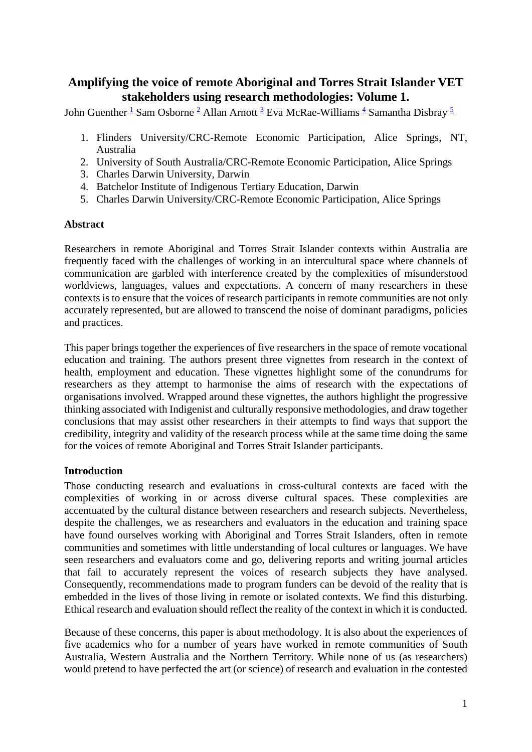# **Amplifying the voice of remote Aboriginal and Torres Strait Islander VET stakeholders using research methodologies: Volume 1.**

John Guenther  $\frac{1}{2}$  $\frac{1}{2}$  $\frac{1}{2}$  Sam Osborne  $\frac{2}{3}$  $\frac{2}{3}$  $\frac{2}{3}$  Allan Arnott  $\frac{3}{2}$  Eva McRae-Williams  $\frac{4}{3}$  $\frac{4}{3}$  $\frac{4}{3}$  Samantha Disbray  $\frac{5}{3}$  $\frac{5}{3}$  $\frac{5}{3}$ 

- 1. Flinders University/CRC-Remote Economic Participation, Alice Springs, NT, Australia
- 2. University of South Australia/CRC-Remote Economic Participation, Alice Springs
- 3. Charles Darwin University, Darwin
- 4. Batchelor Institute of Indigenous Tertiary Education, Darwin
- 5. Charles Darwin University/CRC-Remote Economic Participation, Alice Springs

### **Abstract**

Researchers in remote Aboriginal and Torres Strait Islander contexts within Australia are frequently faced with the challenges of working in an intercultural space where channels of communication are garbled with interference created by the complexities of misunderstood worldviews, languages, values and expectations. A concern of many researchers in these contexts is to ensure that the voices of research participants in remote communities are not only accurately represented, but are allowed to transcend the noise of dominant paradigms, policies and practices.

This paper brings together the experiences of five researchers in the space of remote vocational education and training. The authors present three vignettes from research in the context of health, employment and education. These vignettes highlight some of the conundrums for researchers as they attempt to harmonise the aims of research with the expectations of organisations involved. Wrapped around these vignettes, the authors highlight the progressive thinking associated with Indigenist and culturally responsive methodologies, and draw together conclusions that may assist other researchers in their attempts to find ways that support the credibility, integrity and validity of the research process while at the same time doing the same for the voices of remote Aboriginal and Torres Strait Islander participants.

# **Introduction**

Those conducting research and evaluations in cross-cultural contexts are faced with the complexities of working in or across diverse cultural spaces. These complexities are accentuated by the cultural distance between researchers and research subjects. Nevertheless, despite the challenges, we as researchers and evaluators in the education and training space have found ourselves working with Aboriginal and Torres Strait Islanders, often in remote communities and sometimes with little understanding of local cultures or languages. We have seen researchers and evaluators come and go, delivering reports and writing journal articles that fail to accurately represent the voices of research subjects they have analysed. Consequently, recommendations made to program funders can be devoid of the reality that is embedded in the lives of those living in remote or isolated contexts. We find this disturbing. Ethical research and evaluation should reflect the reality of the context in which it is conducted.

Because of these concerns, this paper is about methodology. It is also about the experiences of five academics who for a number of years have worked in remote communities of South Australia, Western Australia and the Northern Territory. While none of us (as researchers) would pretend to have perfected the art (or science) of research and evaluation in the contested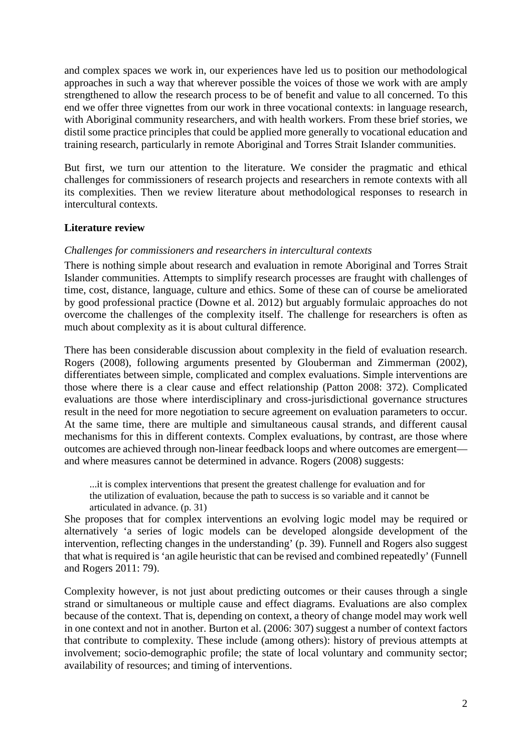and complex spaces we work in, our experiences have led us to position our methodological approaches in such a way that wherever possible the voices of those we work with are amply strengthened to allow the research process to be of benefit and value to all concerned. To this end we offer three vignettes from our work in three vocational contexts: in language research, with Aboriginal community researchers, and with health workers. From these brief stories, we distil some practice principles that could be applied more generally to vocational education and training research, particularly in remote Aboriginal and Torres Strait Islander communities.

But first, we turn our attention to the literature. We consider the pragmatic and ethical challenges for commissioners of research projects and researchers in remote contexts with all its complexities. Then we review literature about methodological responses to research in intercultural contexts.

### **Literature review**

### <span id="page-1-0"></span>*Challenges for commissioners and researchers in intercultural contexts*

There is nothing simple about research and evaluation in remote Aboriginal and Torres Strait Islander communities. Attempts to simplify research processes are fraught with challenges of time, cost, distance, language, culture and ethics. Some of these can of course be ameliorated by good professional practice [\(Downe et al. 2012\)](#page-10-0) but arguably formulaic approaches do not overcome the challenges of the complexity itself. The challenge for researchers is often as much about complexity as it is about cultural difference.

There has been considerable discussion about complexity in the field of evaluation research. Rogers [\(2008\)](#page-10-1), following arguments presented by Glouberman and Zimmerman [\(2002\)](#page-10-2), differentiates between simple, complicated and complex evaluations. Simple interventions are those where there is a clear cause and effect relationship [\(Patton 2008: 372\)](#page-10-3). Complicated evaluations are those where interdisciplinary and cross-jurisdictional governance structures result in the need for more negotiation to secure agreement on evaluation parameters to occur. At the same time, there are multiple and simultaneous causal strands, and different causal mechanisms for this in different contexts. Complex evaluations, by contrast, are those where outcomes are achieved through non-linear feedback loops and where outcomes are emergent and where measures cannot be determined in advance. Rogers [\(2008\)](#page-10-1) suggests:

...it is complex interventions that present the greatest challenge for evaluation and for the utilization of evaluation, because the path to success is so variable and it cannot be articulated in advance. (p. 31)

She proposes that for complex interventions an evolving logic model may be required or alternatively 'a series of logic models can be developed alongside development of the intervention, reflecting changes in the understanding' (p. 39). Funnell and Rogers also suggest that what is required is 'an agile heuristic that can be revised and combined repeatedly' [\(Funnell](#page-10-4)  [and Rogers 2011: 79\)](#page-10-4).

Complexity however, is not just about predicting outcomes or their causes through a single strand or simultaneous or multiple cause and effect diagrams. Evaluations are also complex because of the context. That is, depending on context, a theory of change model may work well in one context and not in another. Burton et al. [\(2006: 307\)](#page-9-0) suggest a number of context factors that contribute to complexity. These include (among others): history of previous attempts at involvement; socio-demographic profile; the state of local voluntary and community sector; availability of resources; and timing of interventions.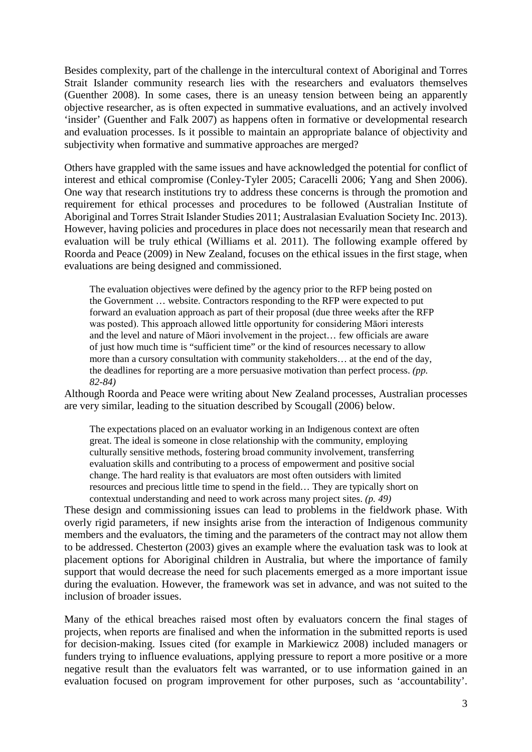Besides complexity, part of the challenge in the intercultural context of Aboriginal and Torres Strait Islander community research lies with the researchers and evaluators themselves [\(Guenther 2008\)](#page-10-5). In some cases, there is an uneasy tension between being an apparently objective researcher, as is often expected in summative evaluations, and an actively involved 'insider' [\(Guenther and Falk 2007\)](#page-10-6) as happens often in formative or developmental research and evaluation processes. Is it possible to maintain an appropriate balance of objectivity and subjectivity when formative and summative approaches are merged?

Others have grappled with the same issues and have acknowledged the potential for conflict of interest and ethical compromise [\(Conley-Tyler 2005;](#page-10-7) [Caracelli 2006;](#page-9-1) [Yang and Shen 2006\)](#page-11-0). One way that research institutions try to address these concerns is through the promotion and requirement for ethical processes and procedures to be followed [\(Australian Institute of](#page-9-2)  [Aboriginal and Torres Strait Islander Studies 2011;](#page-9-2) [Australasian Evaluation Society Inc. 2013\)](#page-9-3). However, having policies and procedures in place does not necessarily mean that research and evaluation will be truly ethical [\(Williams et al. 2011\)](#page-11-1). The following example offered by Roorda and Peace [\(2009\)](#page-10-8) in New Zealand, focuses on the ethical issues in the first stage, when evaluations are being designed and commissioned.

The evaluation objectives were defined by the agency prior to the RFP being posted on the Government … website. Contractors responding to the RFP were expected to put forward an evaluation approach as part of their proposal (due three weeks after the RFP was posted). This approach allowed little opportunity for considering Māori interests and the level and nature of Māori involvement in the project… few officials are aware of just how much time is "sufficient time" or the kind of resources necessary to allow more than a cursory consultation with community stakeholders… at the end of the day, the deadlines for reporting are a more persuasive motivation than perfect process. *(pp. 82-84)*

Although Roorda and Peace were writing about New Zealand processes, Australian processes are very similar, leading to the situation described by Scougall [\(2006\)](#page-10-9) below.

The expectations placed on an evaluator working in an Indigenous context are often great. The ideal is someone in close relationship with the community, employing culturally sensitive methods, fostering broad community involvement, transferring evaluation skills and contributing to a process of empowerment and positive social change. The hard reality is that evaluators are most often outsiders with limited resources and precious little time to spend in the field… They are typically short on contextual understanding and need to work across many project sites. *(p. 49)*

These design and commissioning issues can lead to problems in the fieldwork phase. With overly rigid parameters, if new insights arise from the interaction of Indigenous community members and the evaluators, the timing and the parameters of the contract may not allow them to be addressed. Chesterton [\(2003\)](#page-9-4) gives an example where the evaluation task was to look at placement options for Aboriginal children in Australia, but where the importance of family support that would decrease the need for such placements emerged as a more important issue during the evaluation. However, the framework was set in advance, and was not suited to the inclusion of broader issues.

<span id="page-2-0"></span>Many of the ethical breaches raised most often by evaluators concern the final stages of projects, when reports are finalised and when the information in the submitted reports is used for decision-making. Issues cited [\(for example in Markiewicz 2008\)](#page-10-10) included managers or funders trying to influence evaluations, applying pressure to report a more positive or a more negative result than the evaluators felt was warranted, or to use information gained in an evaluation focused on program improvement for other purposes, such as 'accountability'.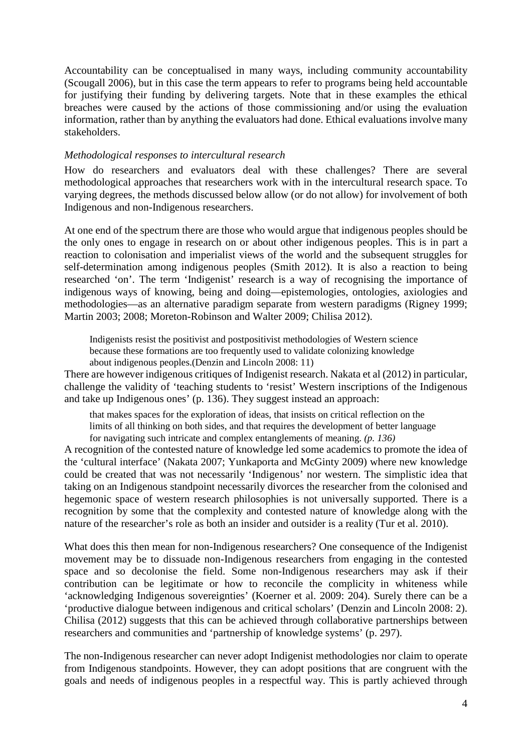Accountability can be conceptualised in many ways, including community accountability [\(Scougall 2006\)](#page-10-9), but in this case the term appears to refer to programs being held accountable for justifying their funding by delivering targets. Note that in these examples the ethical breaches were caused by the actions of those commissioning and/or using the evaluation information, rather than by anything the evaluators had done. Ethical evaluations involve many stakeholders.

#### <span id="page-3-0"></span>*Methodological responses to intercultural research*

How do researchers and evaluators deal with these challenges? There are several methodological approaches that researchers work with in the intercultural research space. To varying degrees, the methods discussed below allow (or do not allow) for involvement of both Indigenous and non-Indigenous researchers.

At one end of the spectrum there are those who would argue that indigenous peoples should be the only ones to engage in research on or about other indigenous peoples. This is in part a reaction to colonisation and imperialist views of the world and the subsequent struggles for self-determination among indigenous peoples [\(Smith 2012\)](#page-10-11). It is also a reaction to being researched 'on'. The term 'Indigenist' research is a way of recognising the importance of indigenous ways of knowing, being and doing—epistemologies, ontologies, axiologies and methodologies—as an alternative paradigm separate from western paradigms [\(Rigney 1999;](#page-10-12) [Martin 2003;](#page-10-13) [2008;](#page-10-14) [Moreton-Robinson and Walter 2009;](#page-10-15) [Chilisa 2012\)](#page-10-16).

Indigenists resist the positivist and postpositivist methodologies of Western science because these formations are too frequently used to validate colonizing knowledge about indigenous peoples.[\(Denzin and Lincoln 2008: 11\)](#page-10-17)

There are however indigenous critiques of Indigenist research. Nakata et al [\(2012\)](#page-10-18) in particular, challenge the validity of 'teaching students to 'resist' Western inscriptions of the Indigenous and take up Indigenous ones' (p. 136). They suggest instead an approach:

that makes spaces for the exploration of ideas, that insists on critical reflection on the limits of all thinking on both sides, and that requires the development of better language for navigating such intricate and complex entanglements of meaning. *(p. 136)*

A recognition of the contested nature of knowledge led some academics to promote the idea of the 'cultural interface' [\(Nakata 2007;](#page-10-19) [Yunkaporta and McGinty 2009\)](#page-11-2) where new knowledge could be created that was not necessarily 'Indigenous' nor western. The simplistic idea that taking on an Indigenous standpoint necessarily divorces the researcher from the colonised and hegemonic space of western research philosophies is not universally supported. There is a recognition by some that the complexity and contested nature of knowledge along with the nature of the researcher's role as both an insider and outsider is a reality [\(Tur et al. 2010\)](#page-10-20).

What does this then mean for non-Indigenous researchers? One consequence of the Indigenist movement may be to dissuade non-Indigenous researchers from engaging in the contested space and so decolonise the field. Some non-Indigenous researchers may ask if their contribution can be legitimate or how to reconcile the complicity in whiteness while 'acknowledging Indigenous sovereignties' [\(Koerner et al. 2009: 204\)](#page-10-21). Surely there can be a 'productive dialogue between indigenous and critical scholars' [\(Denzin and Lincoln 2008: 2\)](#page-10-17). Chilisa [\(2012\)](#page-10-16) suggests that this can be achieved through collaborative partnerships between researchers and communities and 'partnership of knowledge systems' (p. 297).

The non-Indigenous researcher can never adopt Indigenist methodologies nor claim to operate from Indigenous standpoints. However, they can adopt positions that are congruent with the goals and needs of indigenous peoples in a respectful way. This is partly achieved through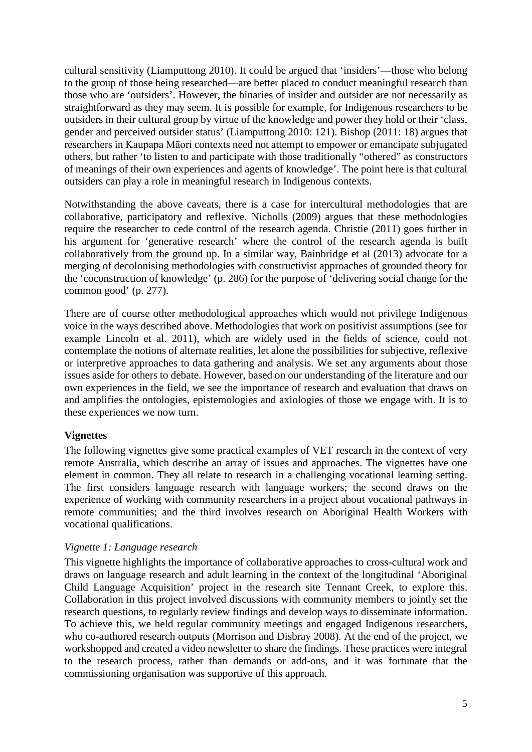cultural sensitivity [\(Liamputtong 2010\)](#page-10-22). It could be argued that 'insiders'—those who belong to the group of those being researched—are better placed to conduct meaningful research than those who are 'outsiders'. However, the binaries of insider and outsider are not necessarily as straightforward as they may seem. It is possible for example, for Indigenous researchers to be outsiders in their cultural group by virtue of the knowledge and power they hold or their 'class, gender and perceived outsider status' [\(Liamputtong 2010: 121\)](#page-10-22). Bishop [\(2011: 18\)](#page-9-5) argues that researchers in Kaupapa Māori contexts need not attempt to empower or emancipate subjugated others, but rather 'to listen to and participate with those traditionally "othered" as constructors of meanings of their own experiences and agents of knowledge'. The point here is that cultural outsiders can play a role in meaningful research in Indigenous contexts.

Notwithstanding the above caveats, there is a case for intercultural methodologies that are collaborative, participatory and reflexive. Nicholls [\(2009\)](#page-10-23) argues that these methodologies require the researcher to cede control of the research agenda. Christie [\(2011\)](#page-10-24) goes further in his argument for 'generative research' where the control of the research agenda is built collaboratively from the ground up. In a similar way, Bainbridge et al [\(2013\)](#page-9-6) advocate for a merging of decolonising methodologies with constructivist approaches of grounded theory for the 'coconstruction of knowledge' (p. 286) for the purpose of 'delivering social change for the common good' (p. 277).

There are of course other methodological approaches which would not privilege Indigenous voice in the ways described above. Methodologies that work on positivist assumptions [\(see for](#page-10-25)  [example Lincoln et al. 2011\)](#page-10-25), which are widely used in the fields of science, could not contemplate the notions of alternate realities, let alone the possibilities for subjective, reflexive or interpretive approaches to data gathering and analysis. We set any arguments about those issues aside for others to debate. However, based on our understanding of the literature and our own experiences in the field, we see the importance of research and evaluation that draws on and amplifies the ontologies, epistemologies and axiologies of those we engage with. It is to these experiences we now turn.

# **Vignettes**

The following vignettes give some practical examples of VET research in the context of very remote Australia, which describe an array of issues and approaches. The vignettes have one element in common. They all relate to research in a challenging vocational learning setting. The first considers language research with language workers; the second draws on the experience of working with community researchers in a project about vocational pathways in remote communities; and the third involves research on Aboriginal Health Workers with vocational qualifications.

### *Vignette 1: Language research*

This vignette highlights the importance of collaborative approaches to cross-cultural work and draws on language research and adult learning in the context of the longitudinal 'Aboriginal Child Language Acquisition' project in the research site Tennant Creek, to explore this. Collaboration in this project involved discussions with community members to jointly set the research questions, to regularly review findings and develop ways to disseminate information. To achieve this, we held regular community meetings and engaged Indigenous researchers, who co-authored research outputs [\(Morrison and Disbray 2008\)](#page-10-26). At the end of the project, we workshopped and created a video newsletter to share the findings. These practices were integral to the research process, rather than demands or add-ons, and it was fortunate that the commissioning organisation was supportive of this approach.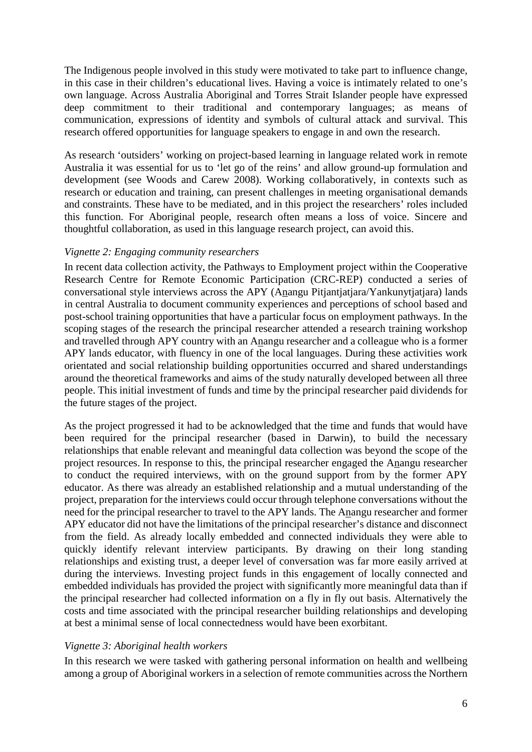The Indigenous people involved in this study were motivated to take part to influence change, in this case in their children's educational lives. Having a voice is intimately related to one's own language. Across Australia Aboriginal and Torres Strait Islander people have expressed deep commitment to their traditional and contemporary languages; as means of communication, expressions of identity and symbols of cultural attack and survival. This research offered opportunities for language speakers to engage in and own the research.

As research 'outsiders' working on project-based learning in language related work in remote Australia it was essential for us to 'let go of the reins' and allow ground-up formulation and development [\(see Woods and Carew 2008\)](#page-11-3). Working collaboratively, in contexts such as research or education and training, can present challenges in meeting organisational demands and constraints. These have to be mediated, and in this project the researchers' roles included this function. For Aboriginal people, research often means a loss of voice. Sincere and thoughtful collaboration, as used in this language research project, can avoid this.

### *Vignette 2: Engaging community researchers*

In recent data collection activity, the Pathways to Employment project within the Cooperative Research Centre for Remote Economic Participation (CRC-REP) conducted a series of conversational style interviews across the APY (Anangu Pitjantjatjara/Yankunytjatjara) lands in central Australia to document community experiences and perceptions of school based and post-school training opportunities that have a particular focus on employment pathways. In the scoping stages of the research the principal researcher attended a research training workshop and travelled through APY country with an Anangu researcher and a colleague who is a former APY lands educator, with fluency in one of the local languages. During these activities work orientated and social relationship building opportunities occurred and shared understandings around the theoretical frameworks and aims of the study naturally developed between all three people. This initial investment of funds and time by the principal researcher paid dividends for the future stages of the project.

As the project progressed it had to be acknowledged that the time and funds that would have been required for the principal researcher (based in Darwin), to build the necessary relationships that enable relevant and meaningful data collection was beyond the scope of the project resources. In response to this, the principal researcher engaged the Anangu researcher to conduct the required interviews, with on the ground support from by the former APY educator. As there was already an established relationship and a mutual understanding of the project, preparation for the interviews could occur through telephone conversations without the need for the principal researcher to travel to the APY lands. The Anangu researcher and former APY educator did not have the limitations of the principal researcher's distance and disconnect from the field. As already locally embedded and connected individuals they were able to quickly identify relevant interview participants. By drawing on their long standing relationships and existing trust, a deeper level of conversation was far more easily arrived at during the interviews. Investing project funds in this engagement of locally connected and embedded individuals has provided the project with significantly more meaningful data than if the principal researcher had collected information on a fly in fly out basis. Alternatively the costs and time associated with the principal researcher building relationships and developing at best a minimal sense of local connectedness would have been exorbitant.

### *Vignette 3: Aboriginal health workers*

In this research we were tasked with gathering personal information on health and wellbeing among a group of Aboriginal workers in a selection of remote communities across the Northern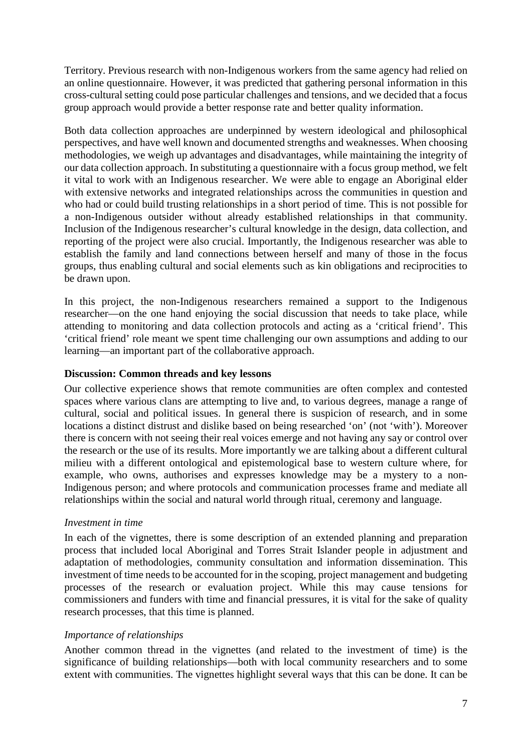Territory. Previous research with non-Indigenous workers from the same agency had relied on an online questionnaire. However, it was predicted that gathering personal information in this cross-cultural setting could pose particular challenges and tensions, and we decided that a focus group approach would provide a better response rate and better quality information.

Both data collection approaches are underpinned by western ideological and philosophical perspectives, and have well known and documented strengths and weaknesses. When choosing methodologies, we weigh up advantages and disadvantages, while maintaining the integrity of our data collection approach. In substituting a questionnaire with a focus group method, we felt it vital to work with an Indigenous researcher. We were able to engage an Aboriginal elder with extensive networks and integrated relationships across the communities in question and who had or could build trusting relationships in a short period of time. This is not possible for a non-Indigenous outsider without already established relationships in that community. Inclusion of the Indigenous researcher's cultural knowledge in the design, data collection, and reporting of the project were also crucial. Importantly, the Indigenous researcher was able to establish the family and land connections between herself and many of those in the focus groups, thus enabling cultural and social elements such as kin obligations and reciprocities to be drawn upon.

In this project, the non-Indigenous researchers remained a support to the Indigenous researcher—on the one hand enjoying the social discussion that needs to take place, while attending to monitoring and data collection protocols and acting as a 'critical friend'. This 'critical friend' role meant we spent time challenging our own assumptions and adding to our learning—an important part of the collaborative approach.

### **Discussion: Common threads and key lessons**

Our collective experience shows that remote communities are often complex and contested spaces where various clans are attempting to live and, to various degrees, manage a range of cultural, social and political issues. In general there is suspicion of research, and in some locations a distinct distrust and dislike based on being researched 'on' (not 'with'). Moreover there is concern with not seeing their real voices emerge and not having any say or control over the research or the use of its results. More importantly we are talking about a different cultural milieu with a different ontological and epistemological base to western culture where, for example, who owns, authorises and expresses knowledge may be a mystery to a non-Indigenous person; and where protocols and communication processes frame and mediate all relationships within the social and natural world through ritual, ceremony and language.

### *Investment in time*

In each of the vignettes, there is some description of an extended planning and preparation process that included local Aboriginal and Torres Strait Islander people in adjustment and adaptation of methodologies, community consultation and information dissemination. This investment of time needs to be accounted for in the scoping, project management and budgeting processes of the research or evaluation project. While this may cause tensions for commissioners and funders with time and financial pressures, it is vital for the sake of quality research processes, that this time is planned.

# *Importance of relationships*

Another common thread in the vignettes (and related to the investment of time) is the significance of building relationships—both with local community researchers and to some extent with communities. The vignettes highlight several ways that this can be done. It can be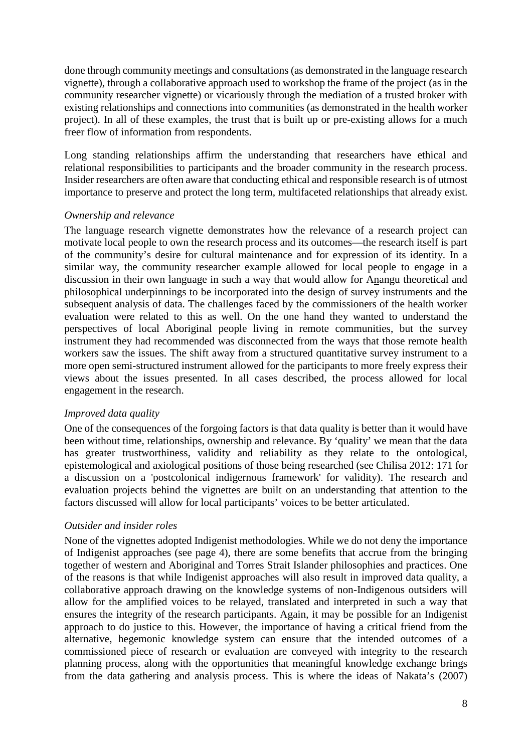done through community meetings and consultations (as demonstrated in the language research vignette), through a collaborative approach used to workshop the frame of the project (as in the community researcher vignette) or vicariously through the mediation of a trusted broker with existing relationships and connections into communities (as demonstrated in the health worker project). In all of these examples, the trust that is built up or pre-existing allows for a much freer flow of information from respondents.

Long standing relationships affirm the understanding that researchers have ethical and relational responsibilities to participants and the broader community in the research process. Insider researchers are often aware that conducting ethical and responsible research is of utmost importance to preserve and protect the long term, multifaceted relationships that already exist.

### *Ownership and relevance*

The language research vignette demonstrates how the relevance of a research project can motivate local people to own the research process and its outcomes—the research itself is part of the community's desire for cultural maintenance and for expression of its identity. In a similar way, the community researcher example allowed for local people to engage in a discussion in their own language in such a way that would allow for Anangu theoretical and philosophical underpinnings to be incorporated into the design of survey instruments and the subsequent analysis of data. The challenges faced by the commissioners of the health worker evaluation were related to this as well. On the one hand they wanted to understand the perspectives of local Aboriginal people living in remote communities, but the survey instrument they had recommended was disconnected from the ways that those remote health workers saw the issues. The shift away from a structured quantitative survey instrument to a more open semi-structured instrument allowed for the participants to more freely express their views about the issues presented. In all cases described, the process allowed for local engagement in the research.

### *Improved data quality*

One of the consequences of the forgoing factors is that data quality is better than it would have been without time, relationships, ownership and relevance. By 'quality' we mean that the data has greater trustworthiness, validity and reliability as they relate to the ontological, epistemological and axiological positions of those being researched [\(see Chilisa 2012: 171 for](#page-10-16)  [a discussion on a 'postcolonical indigernous framework' for validity\)](#page-10-16). The research and evaluation projects behind the vignettes are built on an understanding that attention to the factors discussed will allow for local participants' voices to be better articulated.

### *Outsider and insider roles*

None of the vignettes adopted Indigenist methodologies. While we do not deny the importance of Indigenist approaches (see page [4\)](#page-3-0), there are some benefits that accrue from the bringing together of western and Aboriginal and Torres Strait Islander philosophies and practices. One of the reasons is that while Indigenist approaches will also result in improved data quality, a collaborative approach drawing on the knowledge systems of non-Indigenous outsiders will allow for the amplified voices to be relayed, translated and interpreted in such a way that ensures the integrity of the research participants. Again, it may be possible for an Indigenist approach to do justice to this. However, the importance of having a critical friend from the alternative, hegemonic knowledge system can ensure that the intended outcomes of a commissioned piece of research or evaluation are conveyed with integrity to the research planning process, along with the opportunities that meaningful knowledge exchange brings from the data gathering and analysis process. This is where the ideas of Nakata's [\(2007\)](#page-10-19)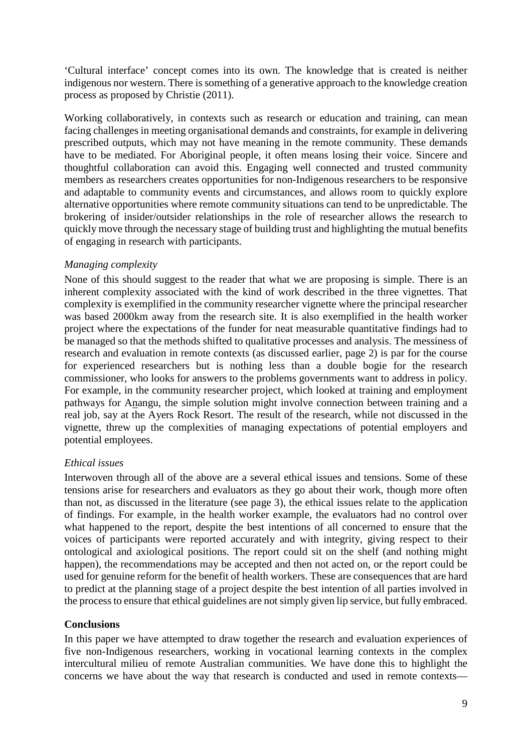'Cultural interface' concept comes into its own. The knowledge that is created is neither indigenous nor western. There is something of a generative approach to the knowledge creation process as proposed by Christie [\(2011\)](#page-10-24).

Working collaboratively, in contexts such as research or education and training, can mean facing challenges in meeting organisational demands and constraints, for example in delivering prescribed outputs, which may not have meaning in the remote community. These demands have to be mediated. For Aboriginal people, it often means losing their voice. Sincere and thoughtful collaboration can avoid this. Engaging well connected and trusted community members as researchers creates opportunities for non-Indigenous researchers to be responsive and adaptable to community events and circumstances, and allows room to quickly explore alternative opportunities where remote community situations can tend to be unpredictable. The brokering of insider/outsider relationships in the role of researcher allows the research to quickly move through the necessary stage of building trust and highlighting the mutual benefits of engaging in research with participants.

# *Managing complexity*

None of this should suggest to the reader that what we are proposing is simple. There is an inherent complexity associated with the kind of work described in the three vignettes. That complexity is exemplified in the community researcher vignette where the principal researcher was based 2000km away from the research site. It is also exemplified in the health worker project where the expectations of the funder for neat measurable quantitative findings had to be managed so that the methods shifted to qualitative processes and analysis. The messiness of research and evaluation in remote contexts (as discussed earlier, page [2\)](#page-1-0) is par for the course for experienced researchers but is nothing less than a double bogie for the research commissioner, who looks for answers to the problems governments want to address in policy. For example, in the community researcher project, which looked at training and employment pathways for Anangu, the simple solution might involve connection between training and a real job, say at the Ayers Rock Resort. The result of the research, while not discussed in the vignette, threw up the complexities of managing expectations of potential employers and potential employees.

# *Ethical issues*

Interwoven through all of the above are a several ethical issues and tensions. Some of these tensions arise for researchers and evaluators as they go about their work, though more often than not, as discussed in the literature (see page [3\)](#page-2-0), the ethical issues relate to the application of findings. For example, in the health worker example, the evaluators had no control over what happened to the report, despite the best intentions of all concerned to ensure that the voices of participants were reported accurately and with integrity, giving respect to their ontological and axiological positions. The report could sit on the shelf (and nothing might happen), the recommendations may be accepted and then not acted on, or the report could be used for genuine reform for the benefit of health workers. These are consequences that are hard to predict at the planning stage of a project despite the best intention of all parties involved in the process to ensure that ethical guidelines are not simply given lip service, but fully embraced.

# **Conclusions**

In this paper we have attempted to draw together the research and evaluation experiences of five non-Indigenous researchers, working in vocational learning contexts in the complex intercultural milieu of remote Australian communities. We have done this to highlight the concerns we have about the way that research is conducted and used in remote contexts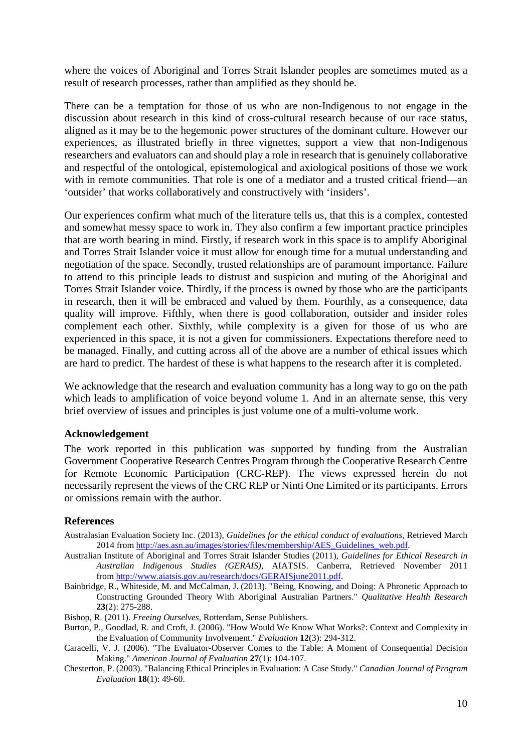where the voices of Aboriginal and Torres Strait Islander peoples are sometimes muted as a result of research processes, rather than amplified as they should be.

There can be a temptation for those of us who are non-Indigenous to not engage in the discussion about research in this kind of cross-cultural research because of our race status, aligned as it may be to the hegemonic power structures of the dominant culture. However our experiences, as illustrated briefly in three vignettes, support a view that non-Indigenous researchers and evaluators can and should play a role in research that is genuinely collaborative and respectful of the ontological, epistemological and axiological positions of those we work with in remote communities. That role is one of a mediator and a trusted critical friend—an 'outsider' that works collaboratively and constructively with 'insiders'.

Our experiences confirm what much of the literature tells us, that this is a complex, contested and somewhat messy space to work in. They also confirm a few important practice principles that are worth bearing in mind. Firstly, if research work in this space is to amplify Aboriginal and Torres Strait Islander voice it must allow for enough time for a mutual understanding and negotiation of the space. Secondly, trusted relationships are of paramount importance. Failure to attend to this principle leads to distrust and suspicion and muting of the Aboriginal and Torres Strait Islander voice. Thirdly, if the process is owned by those who are the participants in research, then it will be embraced and valued by them. Fourthly, as a consequence, data quality will improve. Fifthly, when there is good collaboration, outsider and insider roles complement each other. Sixthly, while complexity is a given for those of us who are experienced in this space, it is not a given for commissioners. Expectations therefore need to be managed. Finally, and cutting across all of the above are a number of ethical issues which are hard to predict. The hardest of these is what happens to the research after it is completed.

We acknowledge that the research and evaluation community has a long way to go on the path which leads to amplification of voice beyond volume 1. And in an alternate sense, this very brief overview of issues and principles is just volume one of a multi-volume work.

#### **Acknowledgement**

The work reported in this publication was supported by funding from the Australian Government Cooperative Research Centres Program through the Cooperative Research Centre for Remote Economic Participation (CRC-REP). The views expressed herein do not necessarily represent the views of the CRC REP or Ninti One Limited or its participants. Errors or omissions remain with the author.

#### **References**

- <span id="page-9-3"></span>Australasian Evaluation Society Inc. (2013), *Guidelines for the ethical conduct of evaluations*, Retrieved March 2014 fro[m http://aes.asn.au/images/stories/files/membership/AES\\_Guidelines\\_web.pdf.](http://aes.asn.au/images/stories/files/membership/AES_Guidelines_web.pdf)
- <span id="page-9-2"></span>Australian Institute of Aboriginal and Torres Strait Islander Studies (2011), *Guidelines for Ethical Research in Australian Indigenous Studies (GERAIS)*, AIATSIS. Canberra, Retrieved November 2011 from [http://www.aiatsis.gov.au/research/docs/GERAISjune2011.pdf.](http://www.aiatsis.gov.au/research/docs/GERAISjune2011.pdf)
- <span id="page-9-6"></span>Bainbridge, R., Whiteside, M. and McCalman, J. (2013). "Being, Knowing, and Doing: A Phronetic Approach to Constructing Grounded Theory With Aboriginal Australian Partners." *Qualitative Health Research* **23**(2): 275-288.
- <span id="page-9-5"></span>Bishop, R. (2011). *Freeing Ourselves*, Rotterdam, Sense Publishers.
- <span id="page-9-0"></span>Burton, P., Goodlad, R. and Croft, J. (2006). "How Would We Know What Works?: Context and Complexity in the Evaluation of Community Involvement." *Evaluation* **12**(3): 294-312.
- <span id="page-9-1"></span>Caracelli, V. J. (2006). "The Evaluator-Observer Comes to the Table: A Moment of Consequential Decision Making." *American Journal of Evaluation* **27**(1): 104-107.
- <span id="page-9-4"></span>Chesterton, P. (2003). "Balancing Ethical Principles in Evaluation: A Case Study." *Canadian Journal of Program Evaluation* **18**(1): 49-60.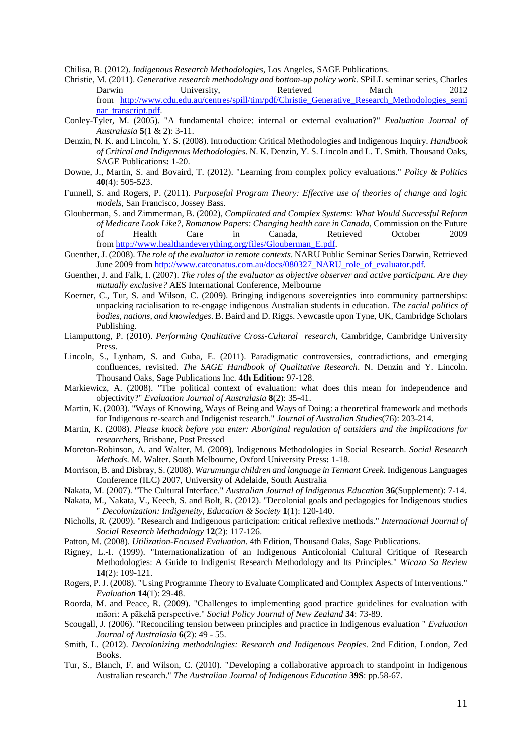<span id="page-10-16"></span>Chilisa, B. (2012). *Indigenous Research Methodologies*, Los Angeles, SAGE Publications.

- <span id="page-10-24"></span>Christie, M. (2011). *Generative research methodology and bottom-up policy work*. SPiLL seminar series, Charles Darwin University, Retrieved March 2012 from [http://www.cdu.edu.au/centres/spill/tim/pdf/Christie\\_Generative\\_Research\\_Methodologies\\_semi](http://www.cdu.edu.au/centres/spill/tim/pdf/Christie_Generative_Research_Methodologies_seminar_transcript.pdf) [nar\\_transcript.pdf.](http://www.cdu.edu.au/centres/spill/tim/pdf/Christie_Generative_Research_Methodologies_seminar_transcript.pdf)
- <span id="page-10-7"></span>Conley-Tyler, M. (2005). "A fundamental choice: internal or external evaluation?" *Evaluation Journal of Australasia* **5**(1 & 2): 3-11.
- <span id="page-10-17"></span>Denzin, N. K. and Lincoln, Y. S. (2008). Introduction: Critical Methodologies and Indigenous Inquiry. *Handbook of Critical and Indigenous Methodologies*. N. K. Denzin, Y. S. Lincoln and L. T. Smith. Thousand Oaks, SAGE Publications**:** 1-20.
- <span id="page-10-0"></span>Downe, J., Martin, S. and Bovaird, T. (2012). "Learning from complex policy evaluations." *Policy & Politics* **40**(4): 505-523.
- <span id="page-10-4"></span>Funnell, S. and Rogers, P. (2011). *Purposeful Program Theory: Effective use of theories of change and logic models*, San Francisco, Jossey Bass.
- <span id="page-10-2"></span>Glouberman, S. and Zimmerman, B. (2002), *Complicated and Complex Systems: What Would Successful Reform of Medicare Look Like?*, *Romanow Papers: Changing health care in Canada*, Commission on the Future of Health Care in Canada, Retrieved October 2009 from [http://www.healthandeverything.org/files/Glouberman\\_E.pdf.](http://www.healthandeverything.org/files/Glouberman_E.pdf)
- <span id="page-10-5"></span>Guenther, J. (2008). *The role of the evaluator in remote contexts*. NARU Public Seminar Series Darwin, Retrieved June 2009 from [http://www.catconatus.com.au/docs/080327\\_NARU\\_role\\_of\\_evaluator.pdf.](http://www.catconatus.com.au/docs/080327_NARU_role_of_evaluator.pdf)
- <span id="page-10-6"></span>Guenther, J. and Falk, I. (2007). *The roles of the evaluator as objective observer and active participant. Are they mutually exclusive?* AES International Conference, Melbourne
- <span id="page-10-21"></span>Koerner, C., Tur, S. and Wilson, C. (2009). Bringing indigenous sovereignties into community partnerships: unpacking racialisation to re-engage indigenous Australian students in education. *The racial politics of bodies, nations, and knowledges*. B. Baird and D. Riggs. Newcastle upon Tyne, UK, Cambridge Scholars Publishing.
- <span id="page-10-22"></span>Liamputtong, P. (2010). *Performing Qualitative Cross-Cultural research*, Cambridge, Cambridge University Press.
- <span id="page-10-25"></span>Lincoln, S., Lynham, S. and Guba, E. (2011). Paradigmatic controversies, contradictions, and emerging confluences, revisited. *The SAGE Handbook of Qualitative Research*. N. Denzin and Y. Lincoln. Thousand Oaks, Sage Publications Inc. **4th Edition:** 97-128.
- <span id="page-10-10"></span>Markiewicz, A. (2008). "The political context of evaluation: what does this mean for independence and objectivity?" *Evaluation Journal of Australasia* **8**(2): 35-41.
- <span id="page-10-13"></span>Martin, K. (2003). "Ways of Knowing, Ways of Being and Ways of Doing: a theoretical framework and methods for Indigenous re-search and Indigenist research." *Journal of Australian Studies*(76): 203-214.
- <span id="page-10-14"></span>Martin, K. (2008). *Please knock before you enter: Aboriginal regulation of outsiders and the implications for researchers*, Brisbane, Post Pressed
- <span id="page-10-15"></span>Moreton-Robinson, A. and Walter, M. (2009). Indigenous Methodologies in Social Research. *Social Research Methods*. M. Walter. South Melbourne, Oxford University Press**:** 1-18.
- <span id="page-10-26"></span>Morrison, B. and Disbray, S. (2008). *Warumungu children and language in Tennant Creek*. Indigenous Languages Conference (ILC) 2007, University of Adelaide, South Australia
- <span id="page-10-19"></span>Nakata, M. (2007). "The Cultural Interface." *Australian Journal of Indigenous Education* **36**(Supplement): 7-14.
- <span id="page-10-18"></span>Nakata, M., Nakata, V., Keech, S. and Bolt, R. (2012). "Decolonial goals and pedagogies for Indigenous studies " *Decolonization: Indigeneity, Education & Society* **1**(1): 120-140.
- <span id="page-10-23"></span>Nicholls, R. (2009). "Research and Indigenous participation: critical reflexive methods." *International Journal of Social Research Methodology* **12**(2): 117-126.
- <span id="page-10-3"></span>Patton, M. (2008). *Utilization-Focused Evaluation*. 4th Edition, Thousand Oaks, Sage Publications.
- <span id="page-10-12"></span>Rigney, L.-I. (1999). "Internationalization of an Indigenous Anticolonial Cultural Critique of Research Methodologies: A Guide to Indigenist Research Methodology and Its Principles." *Wicazo Sa Review* **14**(2): 109-121.
- <span id="page-10-1"></span>Rogers, P. J. (2008). "Using Programme Theory to Evaluate Complicated and Complex Aspects of Interventions." *Evaluation* **14**(1): 29-48.
- <span id="page-10-8"></span>Roorda, M. and Peace, R. (2009). "Challenges to implementing good practice guidelines for evaluation with māori: A pākehā perspective." *Social Policy Journal of New Zealand* **34**: 73-89.
- <span id="page-10-9"></span>Scougall, J. (2006). "Reconciling tension between principles and practice in Indigenous evaluation " *Evaluation Journal of Australasia* **6**(2): 49 - 55.
- <span id="page-10-11"></span>Smith, L. (2012). *Decolonizing methodologies: Research and Indigenous Peoples*. 2nd Edition, London, Zed Books.
- <span id="page-10-20"></span>Tur, S., Blanch, F. and Wilson, C. (2010). "Developing a collaborative approach to standpoint in Indigenous Australian research." *The Australian Journal of Indigenous Education* **39S**: pp.58-67.